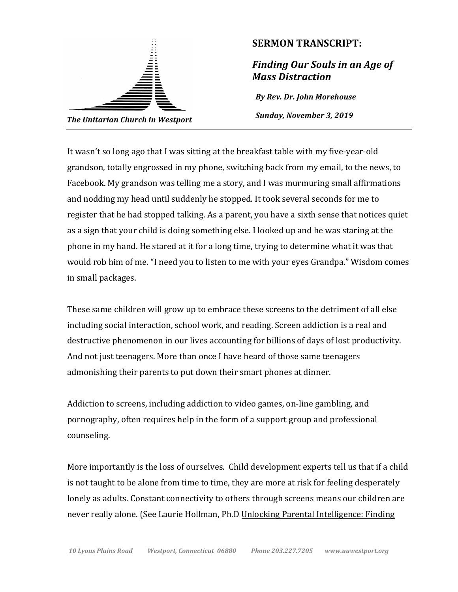

## **SERMON TRANSCRIPT:**

**Finding Our Souls in an Age of** *Mass Distraction*

*By Rev. Dr. John Morehouse* Sunday, November 3, 2019

It wasn't so long ago that I was sitting at the breakfast table with my five-year-old grandson, totally engrossed in my phone, switching back from my email, to the news, to Facebook. My grandson was telling me a story, and I was murmuring small affirmations and nodding my head until suddenly he stopped. It took several seconds for me to register that he had stopped talking. As a parent, you have a sixth sense that notices quiet as a sign that your child is doing something else. I looked up and he was staring at the phone in my hand. He stared at it for a long time, trying to determine what it was that would rob him of me. "I need you to listen to me with your eyes Grandpa." Wisdom comes in small packages.

These same children will grow up to embrace these screens to the detriment of all else including social interaction, school work, and reading. Screen addiction is a real and destructive phenomenon in our lives accounting for billions of days of lost productivity. And not just teenagers. More than once I have heard of those same teenagers admonishing their parents to put down their smart phones at dinner.

Addiction to screens, including addiction to video games, on-line gambling, and pornography, often requires help in the form of a support group and professional counseling. 

More importantly is the loss of ourselves. Child development experts tell us that if a child is not taught to be alone from time to time, they are more at risk for feeling desperately lonely as adults. Constant connectivity to others through screens means our children are never really alone. (See Laurie Hollman, Ph.D Unlocking Parental Intelligence: Finding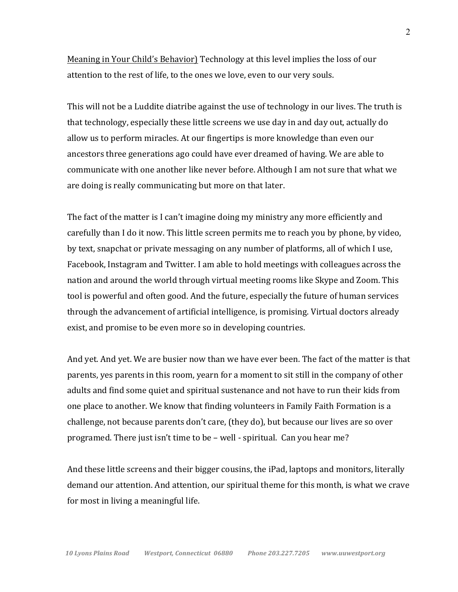Meaning in Your Child's Behavior) Technology at this level implies the loss of our attention to the rest of life, to the ones we love, even to our very souls.

This will not be a Luddite diatribe against the use of technology in our lives. The truth is that technology, especially these little screens we use day in and day out, actually do allow us to perform miracles. At our fingertips is more knowledge than even our ancestors three generations ago could have ever dreamed of having. We are able to communicate with one another like never before. Although I am not sure that what we are doing is really communicating but more on that later.

The fact of the matter is I can't imagine doing my ministry any more efficiently and carefully than I do it now. This little screen permits me to reach you by phone, by video, by text, snapchat or private messaging on any number of platforms, all of which I use, Facebook, Instagram and Twitter. I am able to hold meetings with colleagues across the nation and around the world through virtual meeting rooms like Skype and Zoom. This tool is powerful and often good. And the future, especially the future of human services through the advancement of artificial intelligence, is promising. Virtual doctors already exist, and promise to be even more so in developing countries.

And yet. And yet. We are busier now than we have ever been. The fact of the matter is that parents, yes parents in this room, yearn for a moment to sit still in the company of other adults and find some quiet and spiritual sustenance and not have to run their kids from one place to another. We know that finding volunteers in Family Faith Formation is a challenge, not because parents don't care, (they do), but because our lives are so over programed. There just isn't time to be – well - spiritual. Can you hear me?

And these little screens and their bigger cousins, the iPad, laptops and monitors, literally demand our attention. And attention, our spiritual theme for this month, is what we crave for most in living a meaningful life.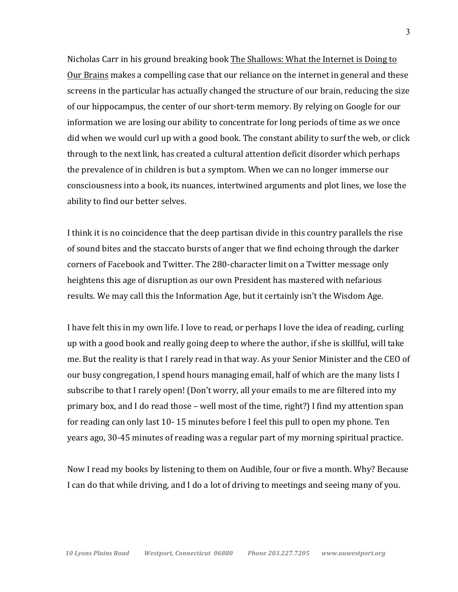Nicholas Carr in his ground breaking book The Shallows: What the Internet is Doing to Our Brains makes a compelling case that our reliance on the internet in general and these screens in the particular has actually changed the structure of our brain, reducing the size of our hippocampus, the center of our short-term memory. By relying on Google for our information we are losing our ability to concentrate for long periods of time as we once did when we would curl up with a good book. The constant ability to surf the web, or click through to the next link, has created a cultural attention deficit disorder which perhaps the prevalence of in children is but a symptom. When we can no longer immerse our consciousness into a book, its nuances, intertwined arguments and plot lines, we lose the ability to find our better selves.

I think it is no coincidence that the deep partisan divide in this country parallels the rise of sound bites and the staccato bursts of anger that we find echoing through the darker corners of Facebook and Twitter. The 280-character limit on a Twitter message only heightens this age of disruption as our own President has mastered with nefarious results. We may call this the Information Age, but it certainly isn't the Wisdom Age.

I have felt this in my own life. I love to read, or perhaps I love the idea of reading, curling up with a good book and really going deep to where the author, if she is skillful, will take me. But the reality is that I rarely read in that way. As your Senior Minister and the CEO of our busy congregation, I spend hours managing email, half of which are the many lists I subscribe to that I rarely open! (Don't worry, all your emails to me are filtered into my primary box, and I do read those – well most of the time, right?) I find my attention span for reading can only last 10-15 minutes before I feel this pull to open my phone. Ten years ago, 30-45 minutes of reading was a regular part of my morning spiritual practice.

Now I read my books by listening to them on Audible, four or five a month. Why? Because I can do that while driving, and I do a lot of driving to meetings and seeing many of you.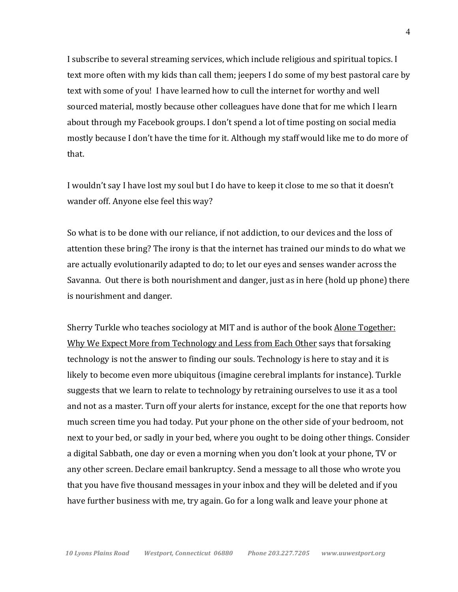I subscribe to several streaming services, which include religious and spiritual topics. I text more often with my kids than call them; jeepers I do some of my best pastoral care by text with some of you! I have learned how to cull the internet for worthy and well sourced material, mostly because other colleagues have done that for me which I learn about through my Facebook groups. I don't spend a lot of time posting on social media mostly because I don't have the time for it. Although my staff would like me to do more of that.

I wouldn't say I have lost my soul but I do have to keep it close to me so that it doesn't wander off. Anyone else feel this way?

So what is to be done with our reliance, if not addiction, to our devices and the loss of attention these bring? The irony is that the internet has trained our minds to do what we are actually evolutionarily adapted to do; to let our eyes and senses wander across the Savanna. Out there is both nourishment and danger, just as in here (hold up phone) there is nourishment and danger.

Sherry Turkle who teaches sociology at MIT and is author of the book Alone Together: Why We Expect More from Technology and Less from Each Other says that forsaking technology is not the answer to finding our souls. Technology is here to stay and it is likely to become even more ubiquitous (imagine cerebral implants for instance). Turkle suggests that we learn to relate to technology by retraining ourselves to use it as a tool and not as a master. Turn off your alerts for instance, except for the one that reports how much screen time you had today. Put your phone on the other side of your bedroom, not next to your bed, or sadly in your bed, where you ought to be doing other things. Consider a digital Sabbath, one day or even a morning when you don't look at your phone, TV or any other screen. Declare email bankruptcy. Send a message to all those who wrote you that you have five thousand messages in your inbox and they will be deleted and if you have further business with me, try again. Go for a long walk and leave your phone at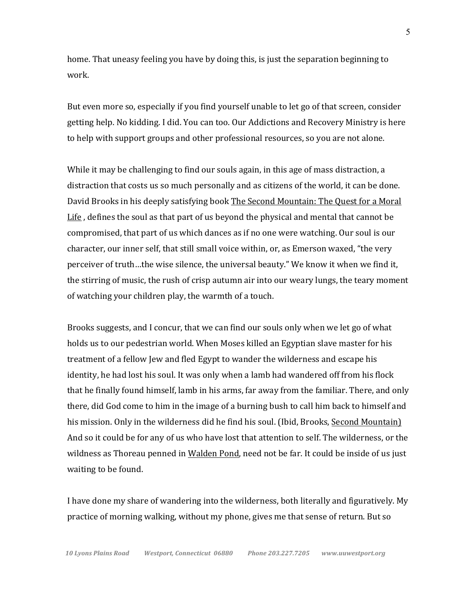home. That uneasy feeling you have by doing this, is just the separation beginning to work.

But even more so, especially if you find yourself unable to let go of that screen, consider getting help. No kidding. I did. You can too. Our Addictions and Recovery Ministry is here to help with support groups and other professional resources, so you are not alone.

While it may be challenging to find our souls again, in this age of mass distraction, a distraction that costs us so much personally and as citizens of the world, it can be done. David Brooks in his deeply satisfying book The Second Mountain: The Quest for a Moral Life, defines the soul as that part of us beyond the physical and mental that cannot be compromised, that part of us which dances as if no one were watching. Our soul is our character, our inner self, that still small voice within, or, as Emerson waxed, "the very perceiver of truth...the wise silence, the universal beauty." We know it when we find it, the stirring of music, the rush of crisp autumn air into our weary lungs, the teary moment of watching your children play, the warmth of a touch.

Brooks suggests, and I concur, that we can find our souls only when we let go of what holds us to our pedestrian world. When Moses killed an Egyptian slave master for his treatment of a fellow Jew and fled Egypt to wander the wilderness and escape his identity, he had lost his soul. It was only when a lamb had wandered off from his flock that he finally found himself, lamb in his arms, far away from the familiar. There, and only there, did God come to him in the image of a burning bush to call him back to himself and his mission. Only in the wilderness did he find his soul. (Ibid, Brooks, Second Mountain) And so it could be for any of us who have lost that attention to self. The wilderness, or the wildness as Thoreau penned in Walden Pond, need not be far. It could be inside of us just waiting to be found.

I have done my share of wandering into the wilderness, both literally and figuratively. My practice of morning walking, without my phone, gives me that sense of return. But so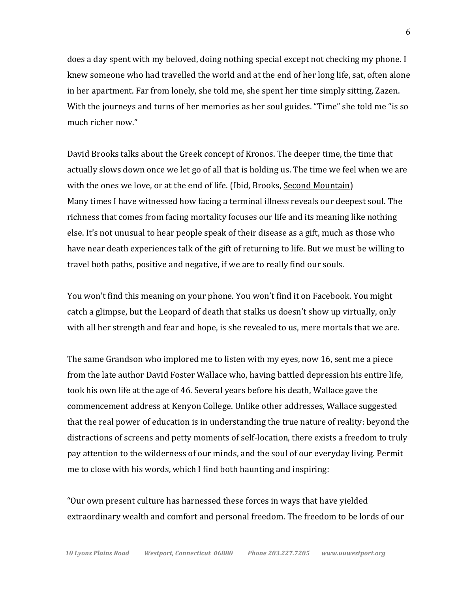does a day spent with my beloved, doing nothing special except not checking my phone. I knew someone who had travelled the world and at the end of her long life, sat, often alone in her apartment. Far from lonely, she told me, she spent her time simply sitting, Zazen. With the journeys and turns of her memories as her soul guides. "Time" she told me "is so much richer now."

David Brooks talks about the Greek concept of Kronos. The deeper time, the time that actually slows down once we let go of all that is holding us. The time we feel when we are with the ones we love, or at the end of life. (Ibid, Brooks, Second Mountain) Many times I have witnessed how facing a terminal illness reveals our deepest soul. The richness that comes from facing mortality focuses our life and its meaning like nothing else. It's not unusual to hear people speak of their disease as a gift, much as those who have near death experiences talk of the gift of returning to life. But we must be willing to travel both paths, positive and negative, if we are to really find our souls.

You won't find this meaning on your phone. You won't find it on Facebook. You might catch a glimpse, but the Leopard of death that stalks us doesn't show up virtually, only with all her strength and fear and hope, is she revealed to us, mere mortals that we are.

The same Grandson who implored me to listen with my eyes, now 16, sent me a piece from the late author David Foster Wallace who, having battled depression his entire life, took his own life at the age of 46. Several years before his death, Wallace gave the commencement address at Kenyon College. Unlike other addresses, Wallace suggested that the real power of education is in understanding the true nature of reality: beyond the distractions of screens and petty moments of self-location, there exists a freedom to truly pay attention to the wilderness of our minds, and the soul of our everyday living. Permit me to close with his words, which I find both haunting and inspiring:

"Our own present culture has harnessed these forces in ways that have yielded extraordinary wealth and comfort and personal freedom. The freedom to be lords of our